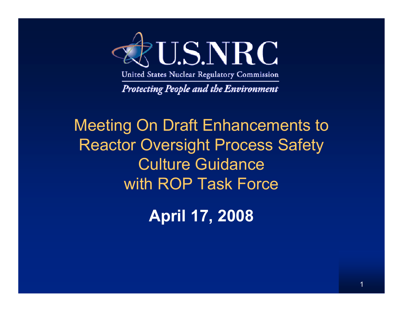

**Protecting People and the Environment** 

### Meeting On Draft Enhancements to Reactor Oversight Process Safety Culture Guidancewith ROP Task Force

**April 17, 2008**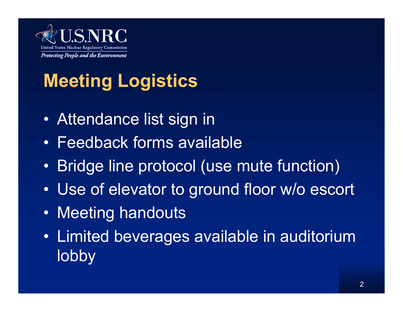

# **Meeting Logistics**

- Attendance list sign in
- Feedback forms available
- $\bullet$ Bridge line protocol (use mute function)
- $\bullet$ Use of elevator to ground floor w/o escort
- Meeting handouts
- Limited beverages available in auditorium lobby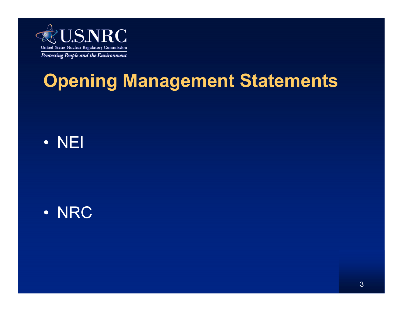

## **Opening Management Statements**





3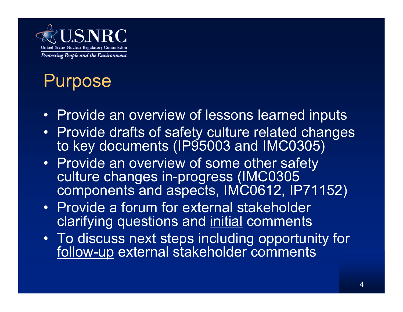

### Purpose

- Provide an overview of lessons learned inputs
- Provide drafts of safety culture related changes to key documents (IP95003 and IMC0305)
- Provide an overview of some other safety culture changes in-progress (IMC0305 components and aspects, IMC0612, IP71152)
- Provide a forum for external stakeholder clarifying questions and initial comments
- To discuss next steps including opportunity for follow-up external stakeholder comments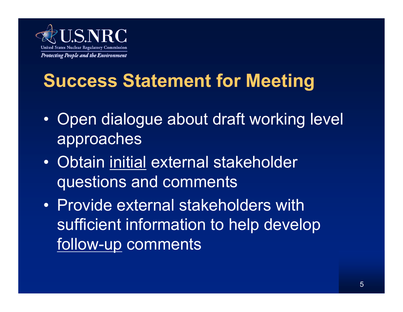

## **Success Statement for Meeting**

- $\bullet$  Open dialogue about draft working level approaches
- Obtain initial external stakeholder questions and comments
- Provide external stakeholders with sufficient information to help develop follow-up comments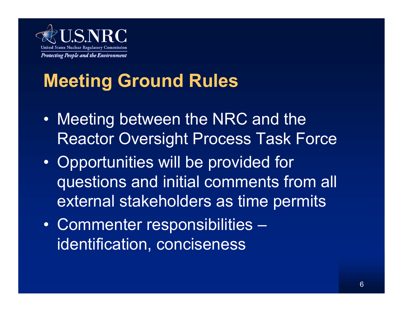

## **Meeting Ground Rules**

- $\bullet$  Meeting between the NRC and the Reactor Oversight Process Task Force
- $\bullet$  Opportunities will be provided for questions and initial comments from all external stakeholders as time permits
- $\bullet$  Commenter responsibilities – identification, conciseness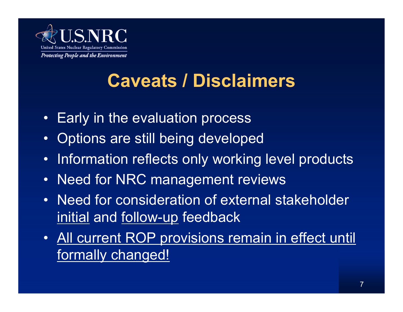

### **Caveats / Disclaimers**

- •Early in the evaluation process
- •Options are still being developed
- •Information reflects only working level products
- $\bullet$ Need for NRC management reviews
- • Need for consideration of external stakeholder initial and follow-up feedback
- All current ROP provisions remain in effect until formally changed!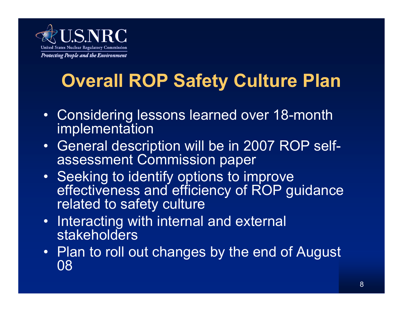

## **Overall ROP Safety Culture Plan**

- Considering lessons learned over 18-month implementation
- General description will be in 2007 ROP selfassessment Commission paper
- Seeking to identify options to improve effectiveness and efficiency of ROP guidance related to safety culture
- • Interacting with internal and external stakeholders
- Plan to roll out changes by the end of August 08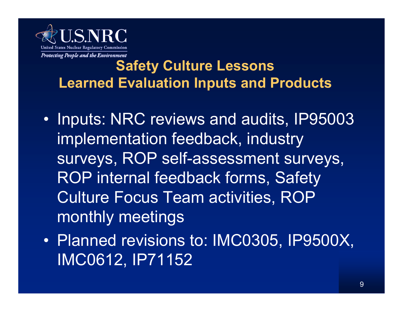

### **Safety Culture Lessons Learned Evaluation Inputs and Products**

- $\bullet$  Inputs: NRC reviews and audits, IP95003 implementation feedback, industry surveys, ROP self-assessment surveys, ROP internal feedback forms, Safety Culture Focus Team activities, ROP monthly meetings
- $\bullet$  Planned revisions to: IMC0305, IP9500X, IMC0612, IP71152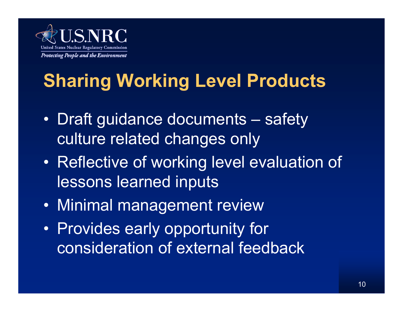

## **Sharing Working Level Products**

- $\bullet$  Draft guidance documents – safety culture related changes only
- $\bullet$  Reflective of working level evaluation of lessons learned inputs
- Minimal management review
- $\bullet$  Provides early opportunity for consideration of external feedback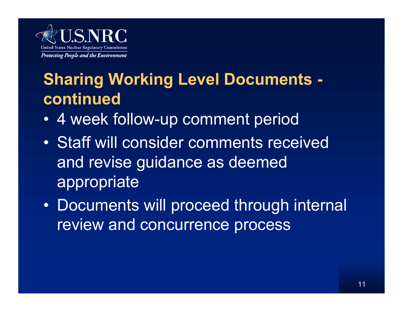

### **Sharing Working Level Documents continued**

- •4 week follow-up comment period
- Staff will consider comments received and revise guidance as deemed appropriate
- Documents will proceed through internal review and concurrence process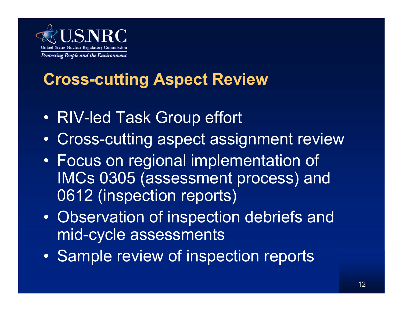

### **Cross-cutting Aspect Review**

- $\bullet$ RIV-led Task Group effort
- •Cross-cutting aspect assignment review
- • Focus on regional implementation of IMCs 0305 (assessment process) and 0612 (inspection reports)
- $\bullet$  Observation of inspection debriefs and mid-cycle assessments
- $\bullet$ Sample review of inspection reports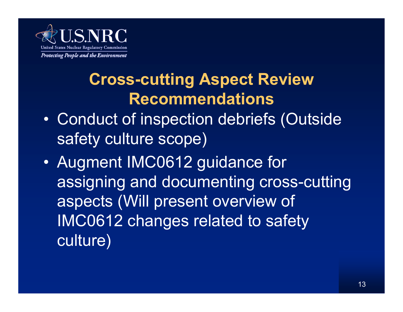

### **Cross-cutting Aspect Review Recommendations**

- $\bullet$  Conduct of inspection debriefs (Outside safety culture scope)
- $\bullet$  Augment IMC0612 guidance for assigning and documenting cross-cutting aspects (Will present overview of IMC0612 changes related to safety culture)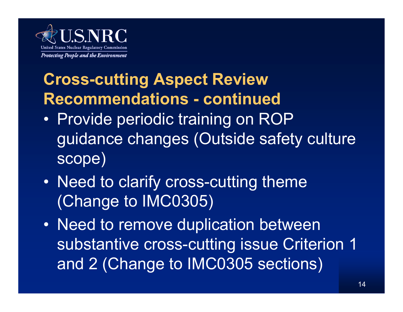

### **Cross-cutting Aspect Review Recommendations - continued**

- • Provide periodic training on ROP guidance changes (Outside safety culture scope)
- • Need to clarify cross-cutting theme (Change to IMC0305)
- Need to remove duplication between substantive cross-cutting issue Criterion 1 and 2 (Change to IMC0305 sections)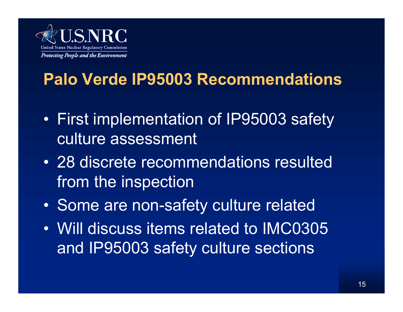

### **Palo Verde IP95003 Recommendations**

- • First implementation of IP95003 safety culture assessment
- 28 discrete recommendations resulted from the inspection
- $\bullet$ Some are non-safety culture related
- Will discuss items related to IMC0305 and IP95003 safety culture sections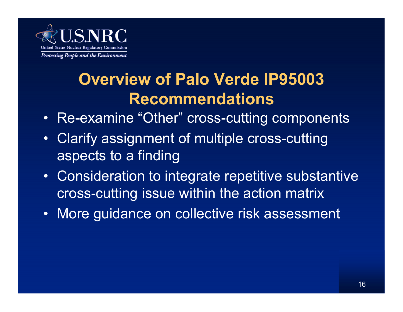

### **Overview of Palo Verde IP95003 Recommendations**

- Re-examine "Other" cross-cutting components
- $\bullet$  Clarify assignment of multiple cross-cutting aspects to a finding
- $\bullet$  Consideration to integrate repetitive substantive cross-cutting issue within the action matrix
- •More guidance on collective risk assessment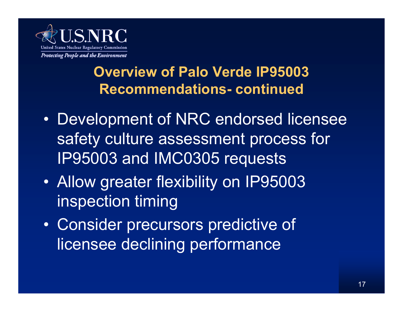

### **Overview of Palo Verde IP95003 Recommendations- continued**

- $\bullet$  Development of NRC endorsed licensee safety culture assessment process for IP95003 and IMC0305 requests
- • Allow greater flexibility on IP95003 inspection timing
- $\bullet$  Consider precursors predictive of licensee declining performance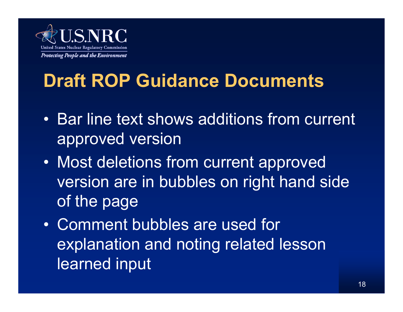

## **Draft ROP Guidance Documents**

- Bar line text shows additions from current approved version
- $\bullet$  Most deletions from current approved version are in bubbles on right hand side of the page
- Comment bubbles are used for explanation and noting related lesson learned input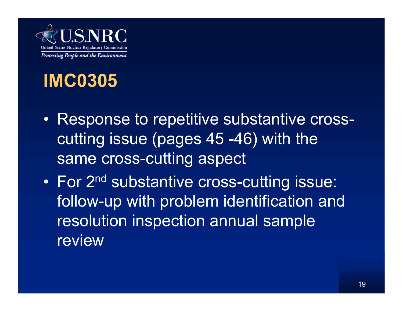

### **IMC0305**

- Response to repetitive substantive crosscutting issue (pages 45 -46) with the same cross-cutting aspect
- •For 2<sup>nd</sup> substantive cross-cutting issue: follow-up with problem identification and resolution inspection annual sample review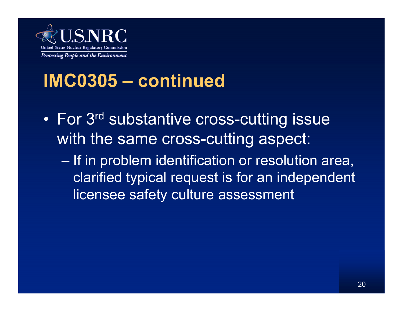

- $\bullet$ For 3<sup>rd</sup> substantive cross-cutting issue with the same cross-cutting aspect:
	- If in problem identification or resolution area, clarified typical request is for an independent licensee safety culture assessment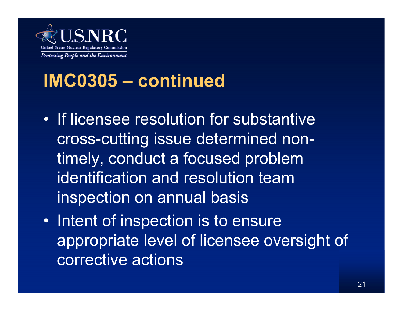

- If licensee resolution for substantive cross-cutting issue determined nontimely, conduct a focused problem identification and resolution team inspection on annual basis
- $\bullet$  Intent of inspection is to ensure appropriate level of licensee oversight of corrective actions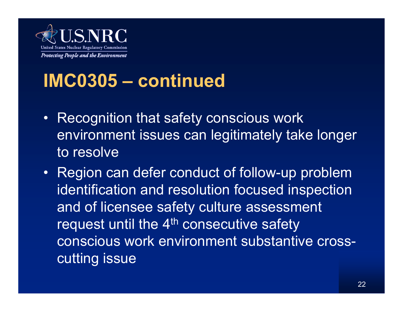

- • Recognition that safety conscious work environment issues can legitimately take longer to resolve
- Region can defer conduct of follow-up problem identification and resolution focused inspection and of licensee safety culture assessment request until the 4<sup>th</sup> consecutive safety conscious work environment substantive crosscutting issue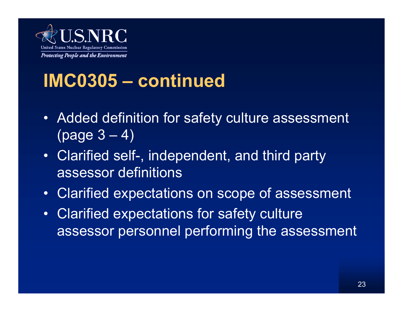

- Added definition for safety culture assessment  $(page 3 - 4)$
- Clarified self-, independent, and third party assessor definitions
- $\bullet$ Clarified expectations on scope of assessment
- $\bullet$  Clarified expectations for safety culture assessor personnel performing the assessment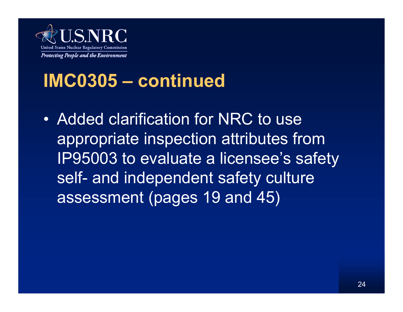

• Added clarification for NRC to use appropriate inspection attributes from IP95003 to evaluate a licensee's safety self- and independent safety culture assessment (pages 19 and 45)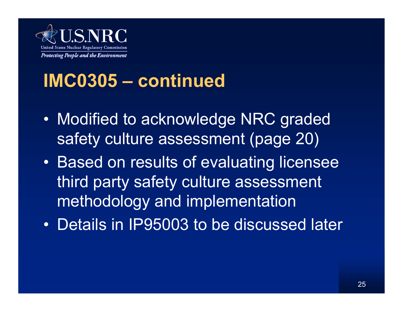

- $\bullet$  Modified to acknowledge NRC graded safety culture assessment (page 20)
- $\bullet$  Based on results of evaluating licensee third party safety culture assessment methodology and implementation
- Details in IP95003 to be discussed later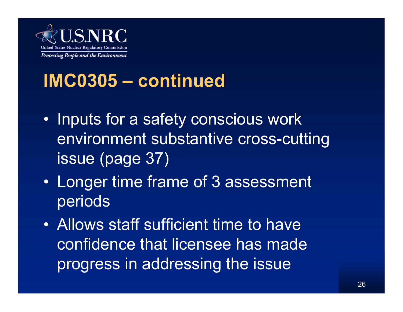

- $\bullet$  Inputs for a safety conscious work environment substantive cross-cutting issue (page 37)
- • Longer time frame of 3 assessment periods
- Allows staff sufficient time to have confidence that licensee has made progress in addressing the issue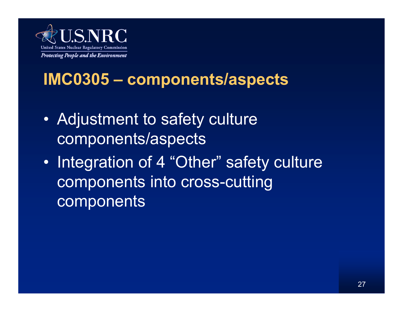

### **IMC0305 – components/aspects**

- $\bullet$  Adjustment to safety culture components/aspects
- $\bullet$  Integration of 4 "Other" safety culture components into cross-cutting components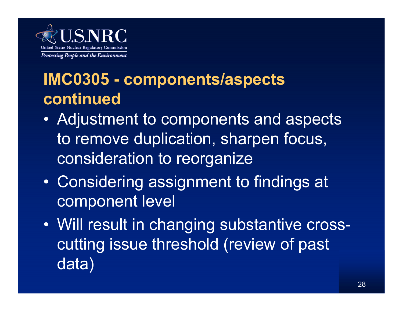

### **IMC0305 - components/aspects continued**

- Adjustment to components and aspects to remove duplication, sharpen focus, consideration to reorganize
- • Considering assignment to findings at component level
- Will result in changing substantive crosscutting issue threshold (review of past data)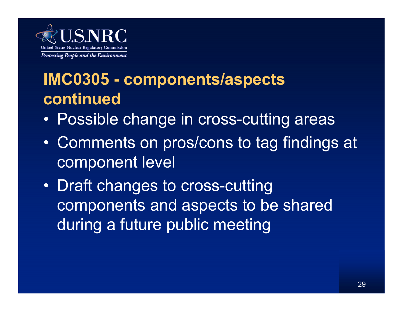

### **IMC0305 - components/aspects continued**

- Possible change in cross-cutting areas
- $\bullet$  Comments on pros/cons to tag findings at component level
- $\bullet$  Draft changes to cross-cutting components and aspects to be shared during a future public meeting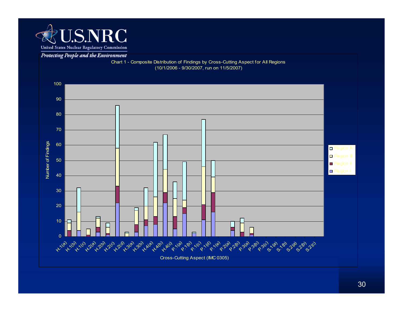

#### Protecting People and the Environment

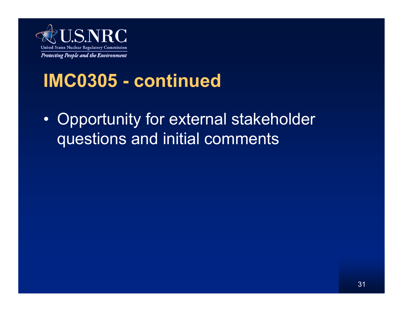

 $\bullet$  Opportunity for external stakeholder questions and initial comments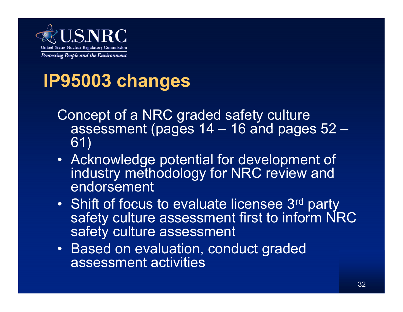

## **IP95003 changes**

- Concept of a NRC graded safety culture assessment (pages 14 – 16 and pages 52 – 61)
- Acknowledge potential for development of industry methodology for NRC review and endorsement
- •Shift of focus to evaluate licensee 3rd party safety culture assessment first to inform NRC safety culture assessment
- Based on evaluation, conduct graded assessment activities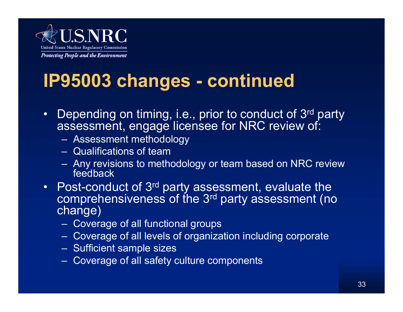

- $\bullet$ Depending on timing, i.e., prior to conduct of 3<sup>rd</sup> party assessment, engage licensee for NRC review of:
	- Assessment methodology
	- Qualifications of team
	- Any revisions to methodology or team based on NRC review feedback
- $\bullet$ Post-conduct of 3<sup>rd</sup> party assessment, evaluate the comprehensiveness of the 3<sup>rd</sup> party assessment (no change)
	- Coverage of all functional groups
	- Coverage of all levels of organization including corporate
	- Sufficient sample sizes
	- Coverage of all safety culture components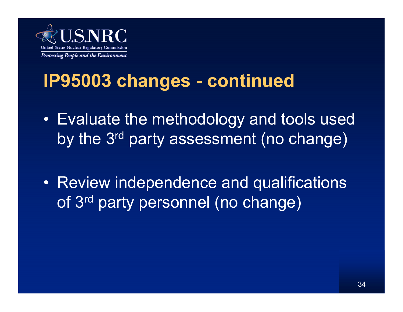

- Evaluate the methodology and tools used by the 3rd party assessment (no change)
- • Review independence and qualifications of 3<sup>rd</sup> party personnel (no change)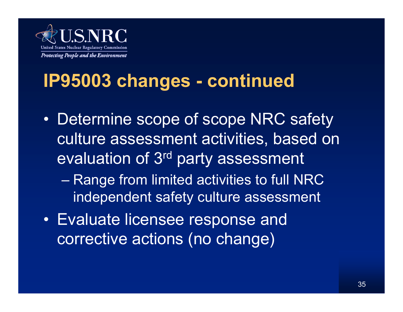

- $\bullet$  Determine scope of scope NRC safety culture assessment activities, based on evaluation of 3rd party assessment
	- Range from limited activities to full NRC independent safety culture assessment
- Evaluate licensee response and corrective actions (no change)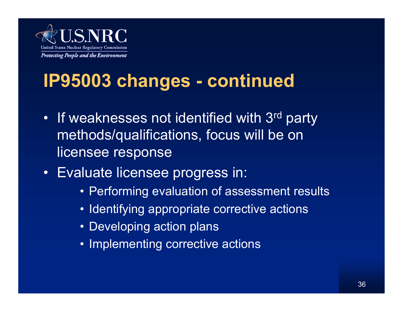

- •If weaknesses not identified with 3rd party methods/qualifications, focus will be on licensee response
- Evaluate licensee progress in:
	- Performing evaluation of assessment results
	- Identifying appropriate corrective actions
	- Developing action plans
	- Implementing corrective actions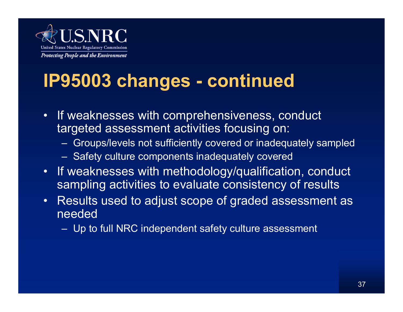

- • If weaknesses with comprehensiveness, conduct targeted assessment activities focusing on:
	- Groups/levels not sufficiently covered or inadequately sampled
	- Safety culture components inadequately covered
- • If weaknesses with methodology/qualification, conduct sampling activities to evaluate consistency of results
- • Results used to adjust scope of graded assessment as needed
	- Up to full NRC independent safety culture assessment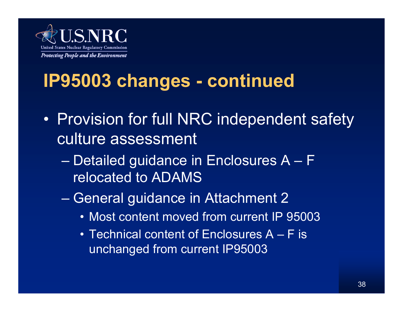

- $\bullet$  Provision for full NRC independent safety culture assessment
	- Detailed guidance in Enclosures A F relocated to ADAMS
	- General guidance in Attachment 2
		- Most content moved from current IP 95003
		- Technical content of Enclosures A F is unchanged from current IP95003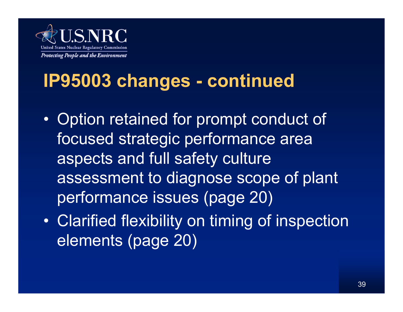

- $\bullet$  Option retained for prompt conduct of focused strategic performance area aspects and full safety culture assessment to diagnose scope of plant performance issues (page 20)
- $\bullet$  Clarified flexibility on timing of inspection elements (page 20)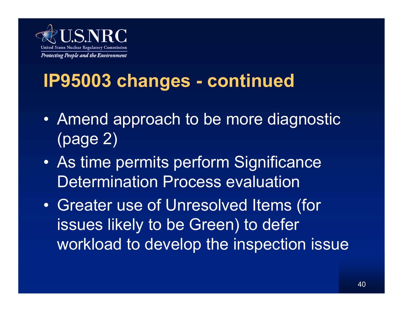

- Amend approach to be more diagnostic (page 2)
- $\bullet$  As time permits perform Significance Determination Process evaluation
- $\bullet$  Greater use of Unresolved Items (for issues likely to be Green) to defer workload to develop the inspection issue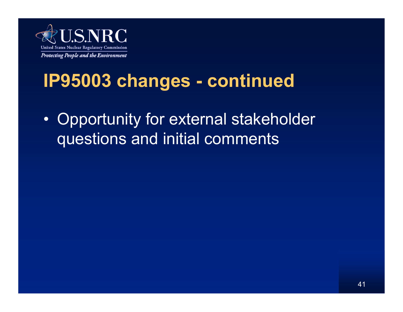

 $\bullet$  Opportunity for external stakeholder questions and initial comments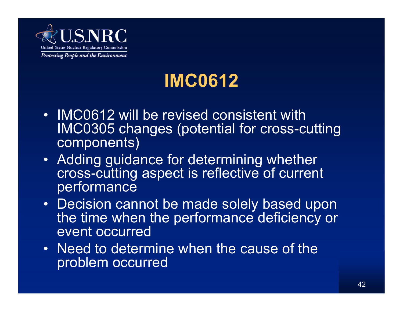

## **IMC0612**

- IMC0612 will be revised consistent with IMC0305 changes (potential for cross-cutting components)
- Adding guidance for determining whether cross-cutting aspect is reflective of current performance
- Decision cannot be made solely based upon the time when the performance deficiency or event occurred
- Need to determine when the cause of the problem occurred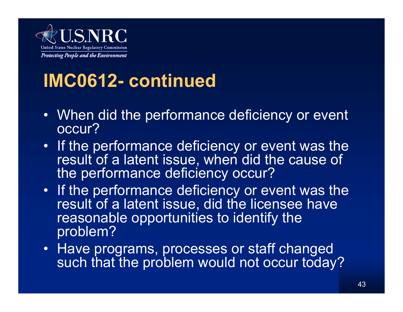

## **IMC0612- continued**

- When did the performance deficiency or event occur?
- • If the performance deficiency or event was the result of a latent issue, when did the cause of the performance deficiency occur?
- If the performance deficiency or event was the result of a latent issue, did the licensee have reasonable opportunities to identify the problem?
- Have programs, processes or staff changed such that the problem would not occur today?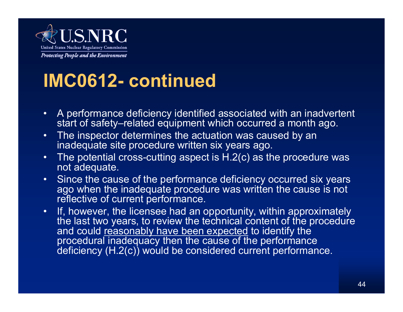

## **IMC0612- continued**

- $\bullet$  A performance deficiency identified associated with an inadvertent start of safety–related equipment which occurred a month ago.
- •The inspector determines the actuation was caused by an inadequate site procedure written six years ago.
- • The potential cross-cutting aspect is H.2(c) as the procedure was not adequate.
- • Since the cause of the performance deficiency occurred six years ago when the inadequate procedure was written the cause is not reflective of current performance.
- •If, however, the licensee had an opportunity, within approximately the last two years, to review the technical content of the procedure and could <u>reasonably have been expected</u> to identify the procedural inadequacy then the cause of the performance deficiency (H.2(c)) would be considered current performance.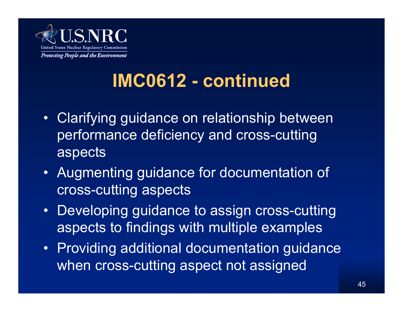

## **IMC0612 - continued**

- Clarifying guidance on relationship between performance deficiency and cross-cutting aspects
- Augmenting guidance for documentation of cross-cutting aspects
- • Developing guidance to assign cross-cutting aspects to findings with multiple examples
- Providing additional documentation guidance when cross-cutting aspect not assigned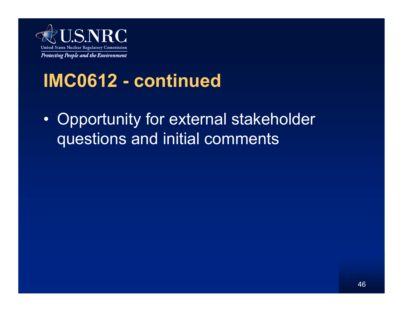

### **IMC0612 - continued**

 $\bullet$  Opportunity for external stakeholder questions and initial comments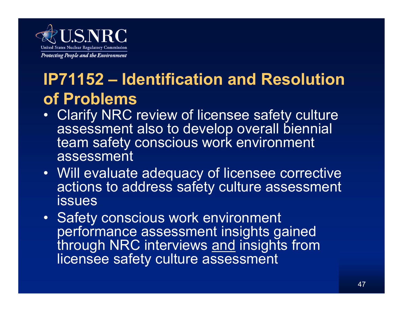

### **IP71152 – Identification and Resolution of Problems**

- Clarify NRC review of licensee safety culture assessment also to develop overall biennial team safety conscious work environment assessment
- Will evaluate adequacy of licensee corrective actions to address safety culture assessment issues
- Safety conscious work environment performance assessment insights gained through NRC interviews and insights from licensee safety culture assessment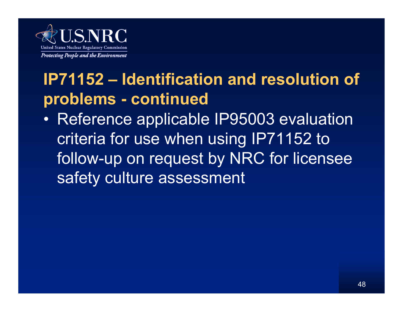

### **IP71152 – Identification and resolution of problems - continued**

• Reference applicable IP95003 evaluation criteria for use when using IP71152 to follow-up on request by NRC for licensee safety culture assessment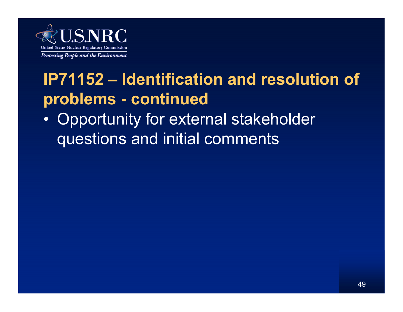

### **IP71152 – Identification and resolution of problems - continued**

• Opportunity for external stakeholder questions and initial comments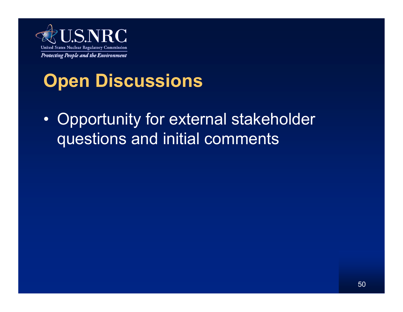

## **Open Discussions**

 $\bullet$  Opportunity for external stakeholder questions and initial comments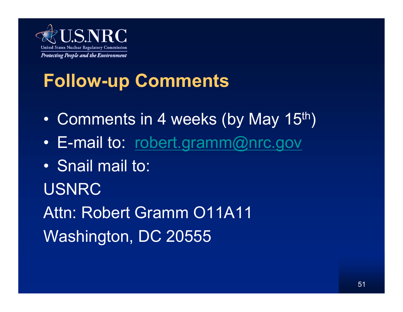

## **Follow-up Comments**

- $\bullet$ Comments in 4 weeks (by May 15<sup>th</sup>)
- $\bullet$ E-mail to: robert.gramm@nrc.gov
- Snail mail to:
- USNRC

Attn: Robert Gramm O11A11Washington, DC 20555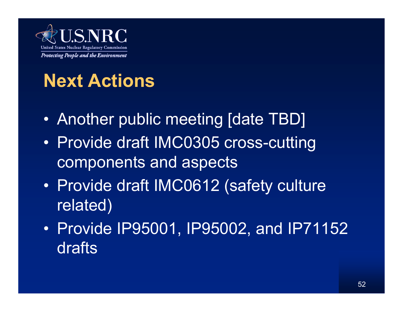

## **Next Actions**

- Another public meeting [date TBD]
- $\bullet$  Provide draft IMC0305 cross-cutting components and aspects
- $\bullet$  Provide draft IMC0612 (safety culture related)
- Provide IP95001, IP95002, and IP71152 drafts